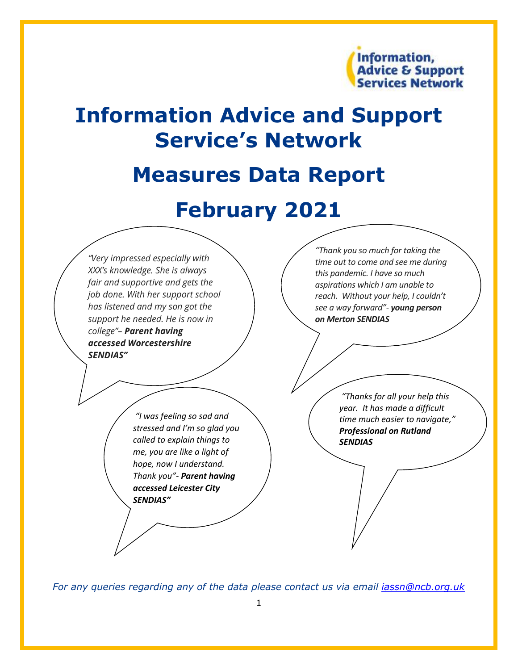

# **Information Advice and Support Service's Network**

# **Measures Data Report**

# **February 2021**



*For any queries regarding any of the data please contact us via email [iassn@ncb.org.uk](mailto:iassn@ncb.org.uk)*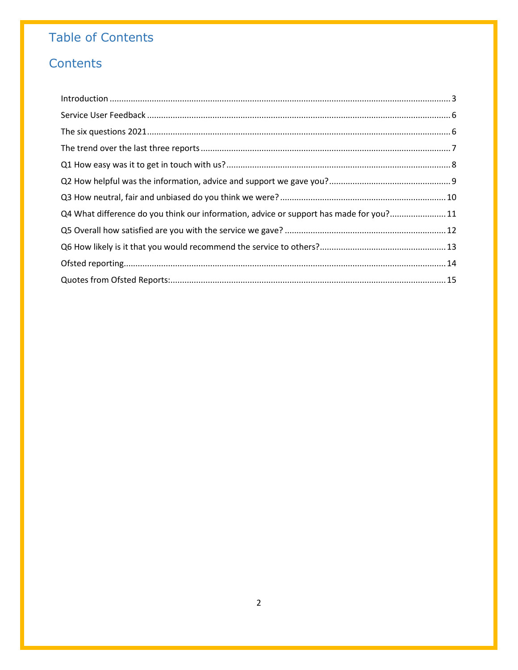# **Table of Contents**

# Contents

| $\label{eq:1} \mbox{Introduction} \,\, \ldots \,\, \ldots \,\, \ldots \,\, \ldots \,\, \ldots \,\, \ldots \,\, \ldots \,\, \ldots \,\, \ldots \,\, \ldots \,\, \ldots \,\, \ldots \,\, \ldots \,\, \ldots \,\, \ldots \,\, \ldots \,\, \ldots \,\, \ldots \,\, \ldots \,\, \ldots \,\, \ldots \,\, \ldots \,\, \ldots \,\, \ldots \,\, \ldots \,\, \ldots \,\, \ldots \,\, \ldots \,\, \ldots \,\, \ldots \,\, \ldots \,\, \ldots \,\, \ldots \,\, \ldots \,\,$ |  |
|-----------------------------------------------------------------------------------------------------------------------------------------------------------------------------------------------------------------------------------------------------------------------------------------------------------------------------------------------------------------------------------------------------------------------------------------------------------------|--|
|                                                                                                                                                                                                                                                                                                                                                                                                                                                                 |  |
|                                                                                                                                                                                                                                                                                                                                                                                                                                                                 |  |
|                                                                                                                                                                                                                                                                                                                                                                                                                                                                 |  |
|                                                                                                                                                                                                                                                                                                                                                                                                                                                                 |  |
|                                                                                                                                                                                                                                                                                                                                                                                                                                                                 |  |
|                                                                                                                                                                                                                                                                                                                                                                                                                                                                 |  |
| Q4 What difference do you think our information, advice or support has made for you?11                                                                                                                                                                                                                                                                                                                                                                          |  |
|                                                                                                                                                                                                                                                                                                                                                                                                                                                                 |  |
|                                                                                                                                                                                                                                                                                                                                                                                                                                                                 |  |
|                                                                                                                                                                                                                                                                                                                                                                                                                                                                 |  |
|                                                                                                                                                                                                                                                                                                                                                                                                                                                                 |  |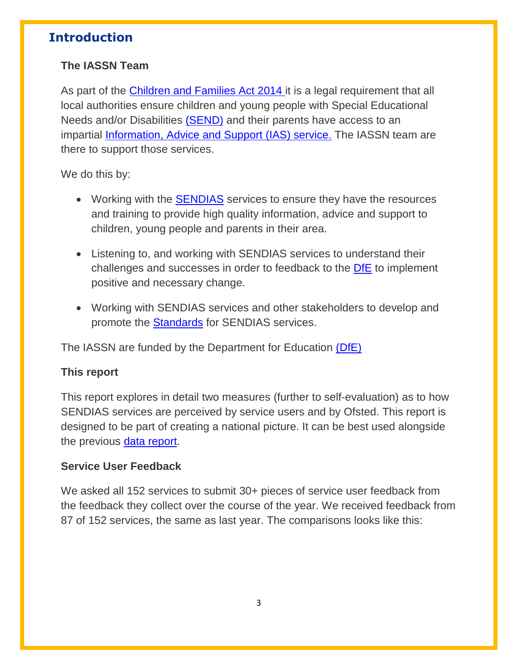# <span id="page-2-0"></span>**Introduction**

### **The IASSN Team**

As part of the [Children and Families Act 2014](https://councilfordisabledchildren.org.uk/help-resources/resources/summary-children-and-families-act) it is a legal requirement that all local authorities ensure children and young people with Special Educational Needs and/or Disabilities [\(SEND\)](https://www.england.nhs.uk/learning-disabilities/care/children-young-people/send/) and their parents have access to an impartial [Information, Advice and Support \(IAS\) service.](https://councilfordisabledchildren.org.uk/information-advice-and-support-services-network/about/what-do-ias-services-do) The IASSN team are there to support those services.

We do this by:

- Working with the **[SENDIAS](https://councilfordisabledchildren.org.uk/information-advice-and-support-services-network/find-your-local-ias-service)** services to ensure they have the resources and training to provide high quality information, advice and support to children, young people and parents in their area.
- Listening to, and working with SENDIAS services to understand their challenges and successes in order to feedback to the [DfE](https://www.gov.uk/government/organisations/department-for-education) to implement positive and necessary change.
- Working with SENDIAS services and other stakeholders to develop and promote the [Standards](https://councilfordisabledchildren.org.uk/information-advice-and-support-services-network/resources/minimum-standards-iass) for SENDIAS services.

The IASSN are funded by the Department for Education [\(DfE\)](https://www.gov.uk/government/organisations/department-for-education)

### **This report**

This report explores in detail two measures (further to self-evaluation) as to how SENDIAS services are perceived by service users and by Ofsted. This report is designed to be part of creating a national picture. It can be best used alongside the previous [data report.](https://councilfordisabledchildren.org.uk/information-advice-and-support-services-network/resources/iassn-first-phase-data-report-1920)

### **Service User Feedback**

We asked all 152 services to submit 30+ pieces of service user feedback from the feedback they collect over the course of the year. We received feedback from 87 of 152 services, the same as last year. The comparisons looks like this: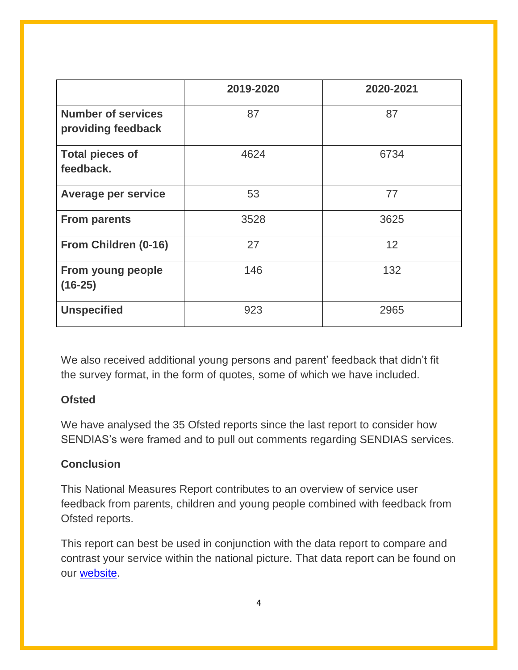|                                                 | 2019-2020 | 2020-2021 |
|-------------------------------------------------|-----------|-----------|
| <b>Number of services</b><br>providing feedback | 87        | 87        |
| <b>Total pieces of</b><br>feedback.             | 4624      | 6734      |
| <b>Average per service</b>                      | 53        | 77        |
| <b>From parents</b>                             | 3528      | 3625      |
| From Children (0-16)                            | 27        | 12        |
| From young people<br>$(16-25)$                  | 146       | 132       |
| <b>Unspecified</b>                              | 923       | 2965      |

We also received additional young persons and parent' feedback that didn't fit the survey format, in the form of quotes, some of which we have included.

### **Ofsted**

We have analysed the 35 Ofsted reports since the last report to consider how SENDIAS's were framed and to pull out comments regarding SENDIAS services.

### **Conclusion**

This National Measures Report contributes to an overview of service user feedback from parents, children and young people combined with feedback from Ofsted reports.

This report can best be used in conjunction with the data report to compare and contrast your service within the national picture. That data report can be found on our [website.](https://councilfordisabledchildren.org.uk/information-advice-and-support-services-network/resources/ias-services-annual-reports)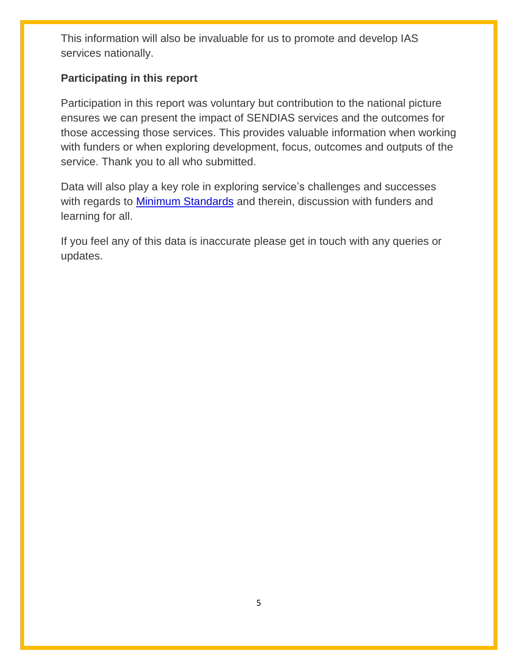This information will also be invaluable for us to promote and develop IAS services nationally.

### **Participating in this report**

Participation in this report was voluntary but contribution to the national picture ensures we can present the impact of SENDIAS services and the outcomes for those accessing those services. This provides valuable information when working with funders or when exploring development, focus, outcomes and outputs of the service. Thank you to all who submitted.

Data will also play a key role in exploring service's challenges and successes with regards to [Minimum Standards](https://councilfordisabledchildren.org.uk/information-advice-and-support-services-network/resources/minimum-standards-iass) and therein, discussion with funders and learning for all.

If you feel any of this data is inaccurate please get in touch with any queries or updates.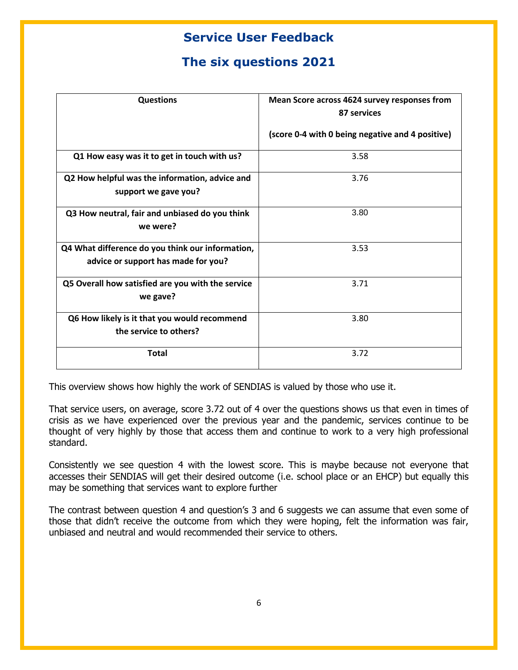# **Service User Feedback**

# **The six questions 2021**

<span id="page-5-1"></span><span id="page-5-0"></span>

| <b>Questions</b>                                                                        | Mean Score across 4624 survey responses from<br>87 services |
|-----------------------------------------------------------------------------------------|-------------------------------------------------------------|
|                                                                                         | (score 0-4 with 0 being negative and 4 positive)            |
| Q1 How easy was it to get in touch with us?                                             | 3.58                                                        |
| Q2 How helpful was the information, advice and<br>support we gave you?                  | 3.76                                                        |
| Q3 How neutral, fair and unbiased do you think<br>we were?                              | 3.80                                                        |
| Q4 What difference do you think our information,<br>advice or support has made for you? | 3.53                                                        |
| Q5 Overall how satisfied are you with the service<br>we gave?                           | 3.71                                                        |
| Q6 How likely is it that you would recommend<br>the service to others?                  | 3.80                                                        |
| <b>Total</b>                                                                            | 3.72                                                        |

This overview shows how highly the work of SENDIAS is valued by those who use it.

That service users, on average, score 3.72 out of 4 over the questions shows us that even in times of crisis as we have experienced over the previous year and the pandemic, services continue to be thought of very highly by those that access them and continue to work to a very high professional standard.

Consistently we see question 4 with the lowest score. This is maybe because not everyone that accesses their SENDIAS will get their desired outcome (i.e. school place or an EHCP) but equally this may be something that services want to explore further

The contrast between question 4 and question's 3 and 6 suggests we can assume that even some of those that didn't receive the outcome from which they were hoping, felt the information was fair, unbiased and neutral and would recommended their service to others.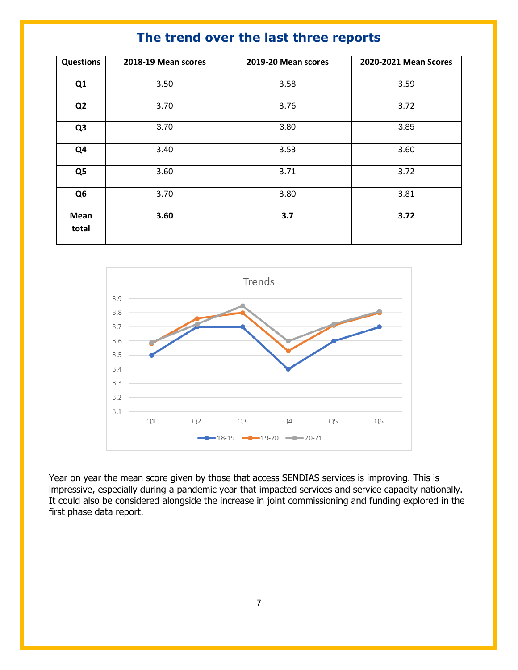|  |  | The trend over the last three reports |  |
|--|--|---------------------------------------|--|
|--|--|---------------------------------------|--|

<span id="page-6-0"></span>

| <b>Questions</b> | 2018-19 Mean scores | 2019-20 Mean scores | 2020-2021 Mean Scores |
|------------------|---------------------|---------------------|-----------------------|
| Q <sub>1</sub>   | 3.50                | 3.58                | 3.59                  |
| Q <sub>2</sub>   | 3.70                | 3.76                | 3.72                  |
| Q <sub>3</sub>   | 3.70                | 3.80                | 3.85                  |
| Q <sub>4</sub>   | 3.40                | 3.53                | 3.60                  |
| Q <sub>5</sub>   | 3.60                | 3.71                | 3.72                  |
| Q <sub>6</sub>   | 3.70                | 3.80                | 3.81                  |
| Mean<br>total    | 3.60                | 3.7                 | 3.72                  |



Year on year the mean score given by those that access SENDIAS services is improving. This is impressive, especially during a pandemic year that impacted services and service capacity nationally. It could also be considered alongside the increase in joint commissioning and funding explored in the first phase data report.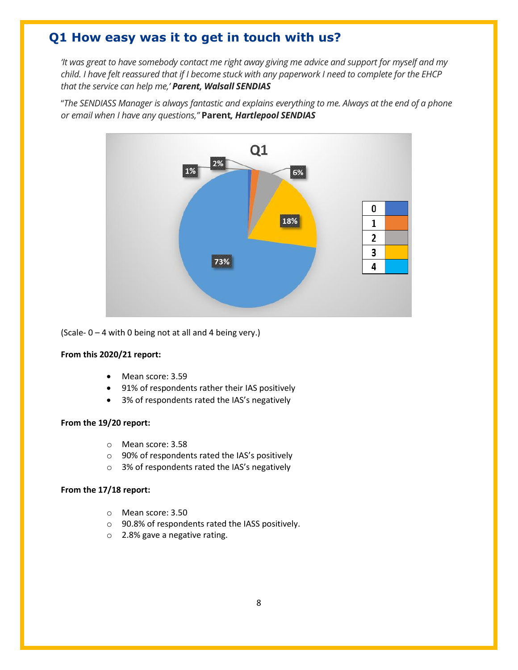## <span id="page-7-0"></span>**Q1 How easy was it to get in touch with us?**

*'It was great to have somebody contact me right away giving me advice and support for myself and my child. I have felt reassured that if I become stuck with any paperwork I need to complete for the EHCP that the service can help me,' Parent, Walsall SENDIAS*

"*The SENDIASS Manager is always fantastic and explains everything to me. Always at the end of a phone or email when I have any questions,"* **Parent***, Hartlepool SENDIAS*



(Scale-  $0 - 4$  with 0 being not at all and 4 being very.)

#### **From this 2020/21 report:**

- Mean score: 3.59
- 91% of respondents rather their IAS positively
- 3% of respondents rated the IAS's negatively

#### **From the 19/20 report:**

- o Mean score: 3.58
- o 90% of respondents rated the IAS's positively
- o 3% of respondents rated the IAS's negatively

- o Mean score: 3.50
- o 90.8% of respondents rated the IASS positively.
- o 2.8% gave a negative rating.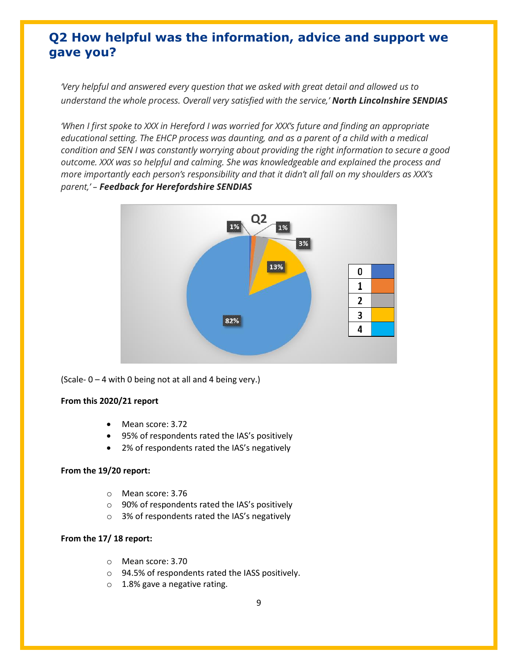# <span id="page-8-0"></span>**Q2 How helpful was the information, advice and support we gave you?**

*'Very helpful and answered every question that we asked with great detail and allowed us to understand the whole process. Overall very satisfied with the service,' North Lincolnshire SENDIAS*

*'When I first spoke to XXX in Hereford I was worried for XXX's future and finding an appropriate educational setting. The EHCP process was daunting, and as a parent of a child with a medical condition and SEN I was constantly worrying about providing the right information to secure a good outcome. XXX was so helpful and calming. She was knowledgeable and explained the process and more importantly each person's responsibility and that it didn't all fall on my shoulders as XXX's parent,' – Feedback for Herefordshire SENDIAS*



(Scale- 0 – 4 with 0 being not at all and 4 being very.)

#### **From this 2020/21 report**

- Mean score: 3.72
- 95% of respondents rated the IAS's positively
- 2% of respondents rated the IAS's negatively

#### **From the 19/20 report:**

- o Mean score: 3.76
- o 90% of respondents rated the IAS's positively
- o 3% of respondents rated the IAS's negatively

- o Mean score: 3.70
- o 94.5% of respondents rated the IASS positively.
- o 1.8% gave a negative rating.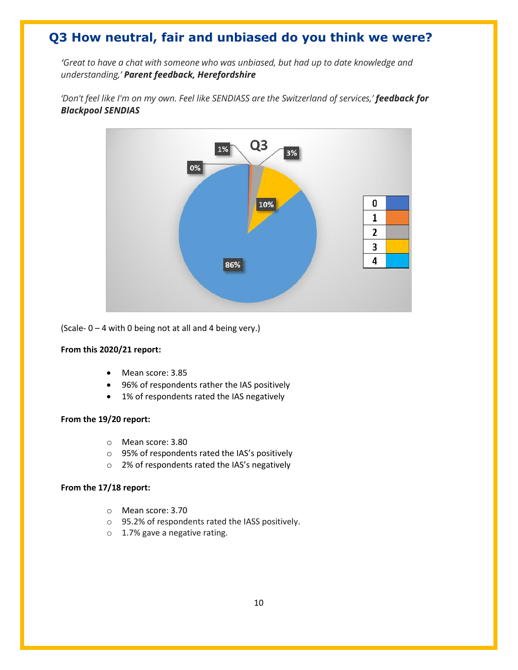# <span id="page-9-0"></span>**Q3 How neutral, fair and unbiased do you think we were?**

*'Great to have a chat with someone who was unbiased, but had up to date knowledge and understanding,' Parent feedback, Herefordshire*



'Don't feel like I'm on my own. Feel like SENDIASS are the Switzerland of services,' **feedback for** *Blackpool SENDIAS* 

(Scale-  $0 - 4$  with 0 being not at all and 4 being very.)

#### **From this 2020/21 report:**

- Mean score: 3.85
- 96% of respondents rather the IAS positively
- 1% of respondents rated the IAS negatively

#### **From the 19/20 report:**

- o Mean score: 3.80
- o 95% of respondents rated the IAS's positively
- o 2% of respondents rated the IAS's negatively

- o Mean score: 3.70
- o 95.2% of respondents rated the IASS positively.
- o 1.7% gave a negative rating.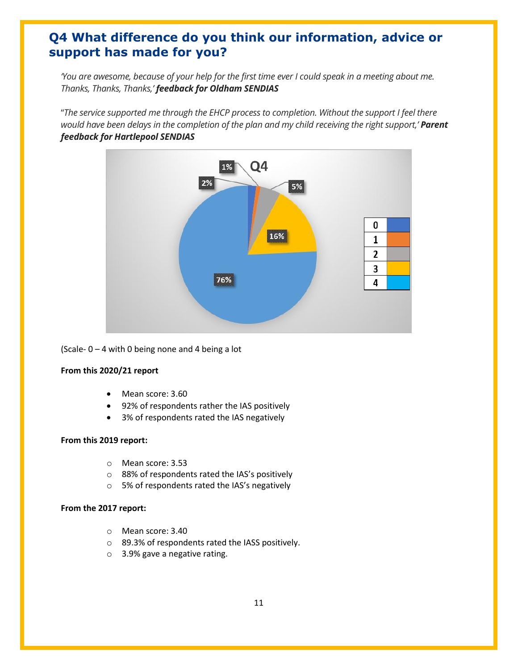## <span id="page-10-0"></span>**Q4 What difference do you think our information, advice or support has made for you?**

*'You are awesome, because of your help for the first time ever I could speak in a meeting about me. Thanks, Thanks, Thanks,' feedback for Oldham SENDIAS*

"*The service supported me through the EHCP process to completion. Without the support I feel there would have been delays in the completion of the plan and my child receiving the right support,' Parent feedback for Hartlepool SENDIAS* 



(Scale-  $0 - 4$  with 0 being none and 4 being a lot

#### **From this 2020/21 report**

- Mean score: 3.60
- 92% of respondents rather the IAS positively
- 3% of respondents rated the IAS negatively

#### **From this 2019 report:**

- o Mean score: 3.53
- o 88% of respondents rated the IAS's positively
- o 5% of respondents rated the IAS's negatively

#### **From the 2017 report:**

- o Mean score: 3.40
- o 89.3% of respondents rated the IASS positively.
- o 3.9% gave a negative rating.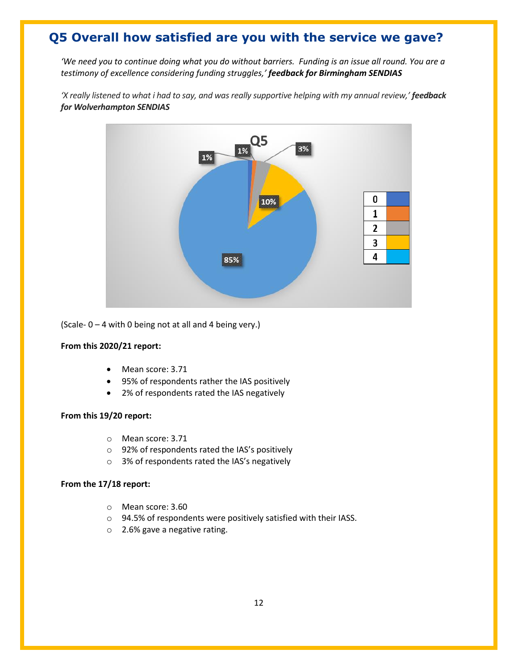# <span id="page-11-0"></span>**Q5 Overall how satisfied are you with the service we gave?**

*'We need you to continue doing what you do without barriers. Funding is an issue all round. You are a testimony of excellence considering funding struggles,' feedback for Birmingham SENDIAS*

*'X really listened to what i had to say, and was really supportive helping with my annual review,' feedback for Wolverhampton SENDIAS* 



(Scale- 0 – 4 with 0 being not at all and 4 being very.)

#### **From this 2020/21 report:**

- Mean score: 3.71
- 95% of respondents rather the IAS positively
- 2% of respondents rated the IAS negatively

#### **From this 19/20 report:**

- o Mean score: 3.71
- o 92% of respondents rated the IAS's positively
- o 3% of respondents rated the IAS's negatively

- o Mean score: 3.60
- o 94.5% of respondents were positively satisfied with their IASS.
- o 2.6% gave a negative rating.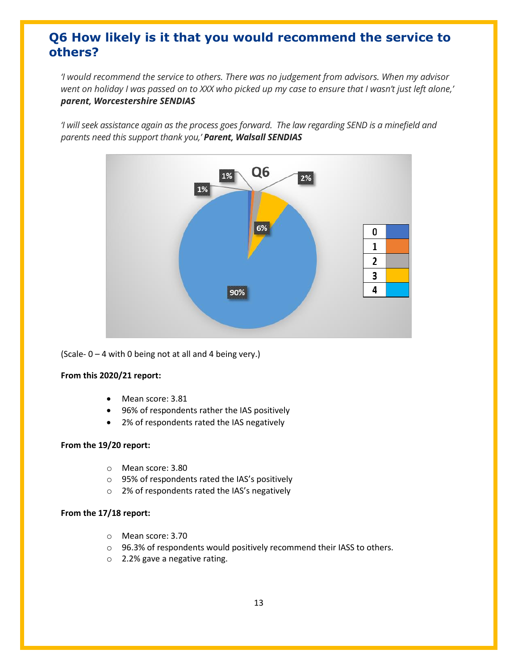# <span id="page-12-0"></span>**Q6 How likely is it that you would recommend the service to others?**

*'I would recommend the service to others. There was no judgement from advisors. When my advisor went on holiday I was passed on to XXX who picked up my case to ensure that I wasn't just left alone,' parent, Worcestershire SENDIAS*

*'I will seek assistance again as the process goes forward. The law regarding SEND is a minefield and parents need this support thank you,' Parent, Walsall SENDIAS* 



(Scale- 0 – 4 with 0 being not at all and 4 being very.)

#### **From this 2020/21 report:**

- Mean score: 3.81
- 96% of respondents rather the IAS positively
- 2% of respondents rated the IAS negatively

#### **From the 19/20 report:**

- o Mean score: 3.80
- o 95% of respondents rated the IAS's positively
- o 2% of respondents rated the IAS's negatively

- o Mean score: 3.70
- o 96.3% of respondents would positively recommend their IASS to others.
- o 2.2% gave a negative rating.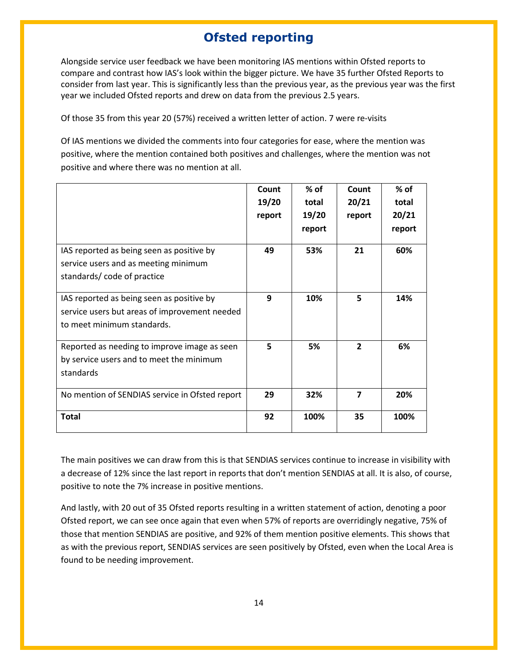# **Ofsted reporting**

<span id="page-13-0"></span>Alongside service user feedback we have been monitoring IAS mentions within Ofsted reports to compare and contrast how IAS's look within the bigger picture. We have 35 further Ofsted Reports to consider from last year. This is significantly less than the previous year, as the previous year was the first year we included Ofsted reports and drew on data from the previous 2.5 years.

Of those 35 from this year 20 (57%) received a written letter of action. 7 were re-visits

Of IAS mentions we divided the comments into four categories for ease, where the mention was positive, where the mention contained both positives and challenges, where the mention was not positive and where there was no mention at all.

|                                                                                                                          | Count<br>19/20<br>report | % of<br>total<br>19/20<br>report | Count<br>20/21<br>report | $%$ of<br>total<br>20/21<br>report |
|--------------------------------------------------------------------------------------------------------------------------|--------------------------|----------------------------------|--------------------------|------------------------------------|
| IAS reported as being seen as positive by<br>service users and as meeting minimum<br>standards/code of practice          | 49                       | 53%                              | 21                       | 60%                                |
| IAS reported as being seen as positive by<br>service users but areas of improvement needed<br>to meet minimum standards. | 9                        | 10%                              | 5                        | 14%                                |
| Reported as needing to improve image as seen<br>by service users and to meet the minimum<br>standards                    | 5                        | 5%                               | $\overline{\phantom{a}}$ | 6%                                 |
| No mention of SENDIAS service in Ofsted report                                                                           | 29                       | 32%                              | $\overline{\mathbf{z}}$  | 20%                                |
| Total                                                                                                                    | 92                       | 100%                             | 35                       | 100%                               |

The main positives we can draw from this is that SENDIAS services continue to increase in visibility with a decrease of 12% since the last report in reports that don't mention SENDIAS at all. It is also, of course, positive to note the 7% increase in positive mentions.

And lastly, with 20 out of 35 Ofsted reports resulting in a written statement of action, denoting a poor Ofsted report, we can see once again that even when 57% of reports are overridingly negative, 75% of those that mention SENDIAS are positive, and 92% of them mention positive elements. This shows that as with the previous report, SENDIAS services are seen positively by Ofsted, even when the Local Area is found to be needing improvement.